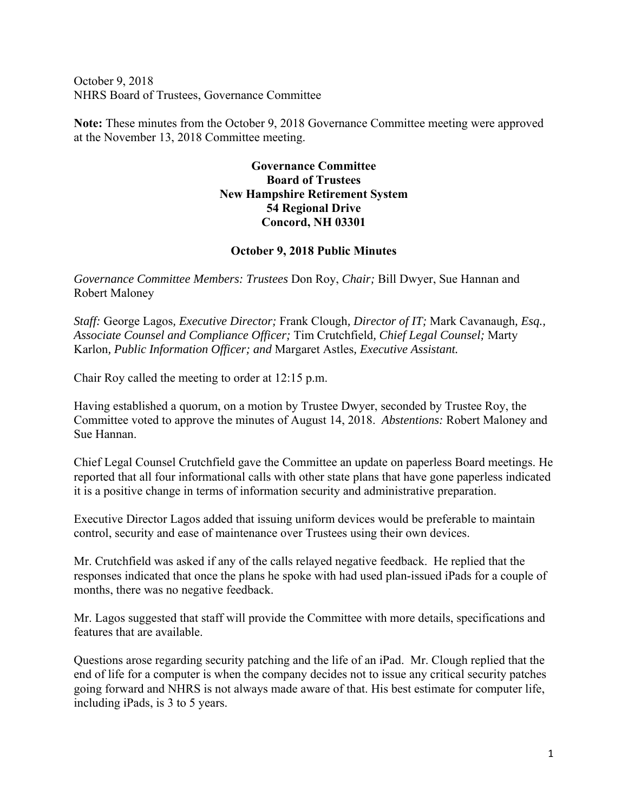October 9, 2018 NHRS Board of Trustees, Governance Committee

**Note:** These minutes from the October 9, 2018 Governance Committee meeting were approved at the November 13, 2018 Committee meeting.

## **Governance Committee Board of Trustees New Hampshire Retirement System 54 Regional Drive Concord, NH 03301**

## **October 9, 2018 Public Minutes**

*Governance Committee Members: Trustees* Don Roy, *Chair;* Bill Dwyer, Sue Hannan and Robert Maloney

*Staff:* George Lagos*, Executive Director;* Frank Clough*, Director of IT;* Mark Cavanaugh*, Esq., Associate Counsel and Compliance Officer;* Tim Crutchfield*, Chief Legal Counsel;* Marty Karlon*, Public Information Officer; and* Margaret Astles*, Executive Assistant.* 

Chair Roy called the meeting to order at 12:15 p.m.

Having established a quorum, on a motion by Trustee Dwyer, seconded by Trustee Roy, the Committee voted to approve the minutes of August 14, 2018. *Abstentions:* Robert Maloney and Sue Hannan.

Chief Legal Counsel Crutchfield gave the Committee an update on paperless Board meetings. He reported that all four informational calls with other state plans that have gone paperless indicated it is a positive change in terms of information security and administrative preparation.

Executive Director Lagos added that issuing uniform devices would be preferable to maintain control, security and ease of maintenance over Trustees using their own devices.

Mr. Crutchfield was asked if any of the calls relayed negative feedback. He replied that the responses indicated that once the plans he spoke with had used plan-issued iPads for a couple of months, there was no negative feedback.

Mr. Lagos suggested that staff will provide the Committee with more details, specifications and features that are available.

Questions arose regarding security patching and the life of an iPad. Mr. Clough replied that the end of life for a computer is when the company decides not to issue any critical security patches going forward and NHRS is not always made aware of that. His best estimate for computer life, including iPads, is 3 to 5 years.